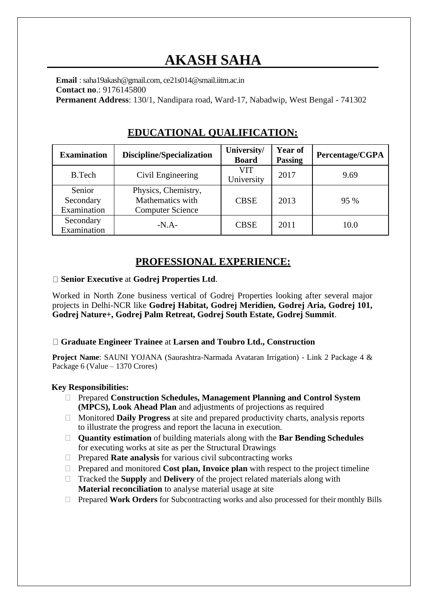# **AKASH SAHA**

**Email** : saha19akash@gmail.com, ce21s014@smail.iitm.ac.in **Contact no**.: 9176145800 **Permanent Address**: 130/1, Nandipara road, Ward-17, Nabadwip, West Bengal - 741302

| <b>Examination</b>                 | Discipline/Specialization                                          | University/<br><b>Board</b> | Year of<br><b>Passing</b> | Percentage/CGPA |
|------------------------------------|--------------------------------------------------------------------|-----------------------------|---------------------------|-----------------|
| <b>B.Tech</b>                      | Civil Engineering                                                  | VIT<br>University           | 2017                      | 9.69            |
| Senior<br>Secondary<br>Examination | Physics, Chemistry,<br>Mathematics with<br><b>Computer Science</b> | <b>CBSE</b>                 | 2013                      | 95 %            |
| Secondary<br>Examination           | $-N.A-$                                                            | <b>CBSE</b>                 | 2011                      | 10.0            |

## **EDUCATIONAL QUALIFICATION:**

## **PROFESSIONAL EXPERIENCE:**

#### **Senior Executive** at **Godrej Properties Ltd**.

Worked in North Zone business vertical of Godrej Properties looking after several major projects in Delhi-NCR like **Godrej Habitat, Godrej Meridien, Godrej Aria, Godrej 101, Godrej Nature+, Godrej Palm Retreat, Godrej South Estate, Godrej Summit**.

#### **Graduate Engineer Trainee** at **Larsen and Toubro Ltd., Construction**

**Project Name**: SAUNI YOJANA (Saurashtra-Narmada Avataran Irrigation) - Link 2 Package 4 & Package 6 (Value – 1370 Crores)

#### **Key Responsibilities:**

- Prepared **Construction Schedules, Management Planning and Control System (MPCS), Look Ahead Plan** and adjustments of projections as required
- $\Box$  Monitored **Daily Progress** at site and prepared productivity charts, analysis reports to illustrate the progress and report the lacuna in execution.
- **Quantity estimation** of building materials along with the **Bar Bending Schedules** for executing works at site as per the Structural Drawings
- Prepared **Rate analysis** for various civil subcontracting works
- $\Box$  Prepared and monitored **Cost plan, Invoice plan** with respect to the project timeline
- Tracked the **Supply** and **Delivery** of the project related materials along with **Material reconciliation** to analyse material usage at site
- Prepared **Work Orders** for Subcontracting works and also processed for their monthly Bills